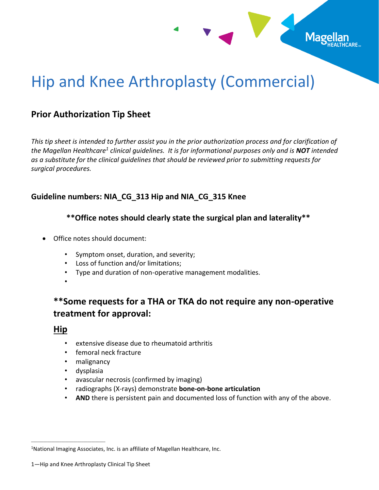

# Hip and Knee Arthroplasty (Commercial)

## **Prior Authorization Tip Sheet**

*This tip sheet is intended to further assist you in the prior authorization process and for clarification of the Magellan Healthcare<sup>1</sup> clinical guidelines. It is for informational purposes only and is NOT intended as a substitute for the clinical guidelines that should be reviewed prior to submitting requests for surgical procedures.*

### **Guideline numbers: NIA\_CG\_313 Hip and NIA\_CG\_315 Knee**

#### **\*\*Office notes should clearly state the surgical plan and laterality\*\***

- Office notes should document:
	- Symptom onset, duration, and severity;
	- Loss of function and/or limitations;
	- Type and duration of non-operative management modalities.
	- •

# **\*\*Some requests for a THA or TKA do not require any non-operative treatment for approval:**

## **Hip**

- extensive disease due to rheumatoid arthritis
- femoral neck fracture
- malignancy
- dysplasia
- avascular necrosis (confirmed by imaging)
- radiographs (X-rays) demonstrate **bone-on-bone articulation**
- AND there is persistent pain and documented loss of function with any of the above.

\_\_\_\_\_\_\_\_\_\_\_\_\_\_\_\_\_\_\_\_\_\_\_\_\_\_\_\_\_\_\_\_\_\_\_\_\_

<sup>&</sup>lt;sup>1</sup>National Imaging Associates, Inc. is an affiliate of Magellan Healthcare, Inc.

<sup>1</sup>—Hip and Knee Arthroplasty Clinical Tip Sheet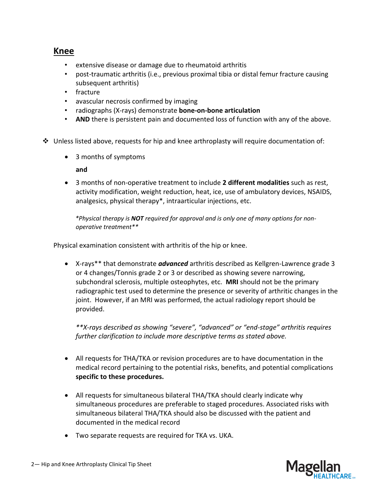## **Knee**

- extensive disease or damage due to rheumatoid arthritis
- post-traumatic arthritis (i.e., previous proximal tibia or distal femur fracture causing subsequent arthritis)
- fracture
- avascular necrosis confirmed by imaging
- radiographs (X-rays) demonstrate **bone-on-bone articulation**
- **AND** there is persistent pain and documented loss of function with any of the above.
- $\clubsuit$  Unless listed above, requests for hip and knee arthroplasty will require documentation of:
	- 3 months of symptoms

#### **and**

• 3 months of non-operative treatment to include **2 different modalities** such as rest, activity modification, weight reduction, heat, ice, use of ambulatory devices, NSAIDS, analgesics, physical therapy\*, intraarticular injections, etc.

 *\*Physical therapy is NOT required for approval and is only one of many options for nonoperative treatment\*\**

Physical examination consistent with arthritis of the hip or knee.

• X-rays\*\* that demonstrate *advanced* arthritis described as Kellgren-Lawrence grade 3 or 4 changes/Tonnis grade 2 or 3 or described as showing severe narrowing, subchondral sclerosis, multiple osteophytes, etc. **MRI** should not be the primary radiographic test used to determine the presence or severity of arthritic changes in the joint. However, if an MRI was performed, the actual radiology report should be provided.

*\*\*X-rays described as showing "severe", "advanced" or "end-stage" arthritis requires further clarification to include more descriptive terms as stated above.* 

- All requests for THA/TKA or revision procedures are to have documentation in the medical record pertaining to the potential risks, benefits, and potential complications **specific to these procedures.**
- All requests for simultaneous bilateral THA/TKA should clearly indicate why simultaneous procedures are preferable to staged procedures. Associated risks with simultaneous bilateral THA/TKA should also be discussed with the patient and documented in the medical record
- Two separate requests are required for TKA vs. UKA.

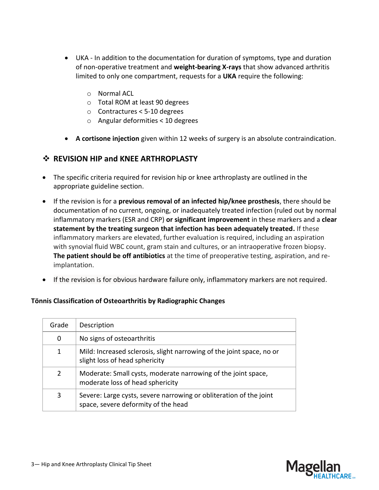- UKA In addition to the documentation for duration of symptoms, type and duration of non-operative treatment and **weight-bearing X-rays** that show advanced arthritis limited to only one compartment, requests for a **UKA** require the following:
	- o Normal ACL
	- o Total ROM at least 90 degrees
	- o Contractures < 5-10 degrees
	- o Angular deformities < 10 degrees
- **A cortisone injection** given within 12 weeks of surgery is an absolute contraindication.

#### ❖ **REVISION HIP and KNEE ARTHROPLASTY**

- The specific criteria required for revision hip or knee arthroplasty are outlined in the appropriate guideline section.
- If the revision is for a **previous removal of an infected hip/knee prosthesis**, there should be documentation of no current, ongoing, or inadequately treated infection (ruled out by normal inflammatory markers (ESR and CRP) **or significant improvement** in these markers and a **clear statement by the treating surgeon that infection has been adequately treated.** If these inflammatory markers are elevated, further evaluation is required, including an aspiration with synovial fluid WBC count, gram stain and cultures, or an intraoperative frozen biopsy. **The patient should be off antibiotics** at the time of preoperative testing, aspiration, and reimplantation.
- If the revision is for obvious hardware failure only, inflammatory markers are not required.

#### **Tönnis Classification of Osteoarthritis by Radiographic Changes**

| Grade | Description                                                                                               |
|-------|-----------------------------------------------------------------------------------------------------------|
| 0     | No signs of osteoarthritis                                                                                |
| 1     | Mild: Increased sclerosis, slight narrowing of the joint space, no or<br>slight loss of head sphericity   |
| 2     | Moderate: Small cysts, moderate narrowing of the joint space,<br>moderate loss of head sphericity         |
| 3     | Severe: Large cysts, severe narrowing or obliteration of the joint<br>space, severe deformity of the head |